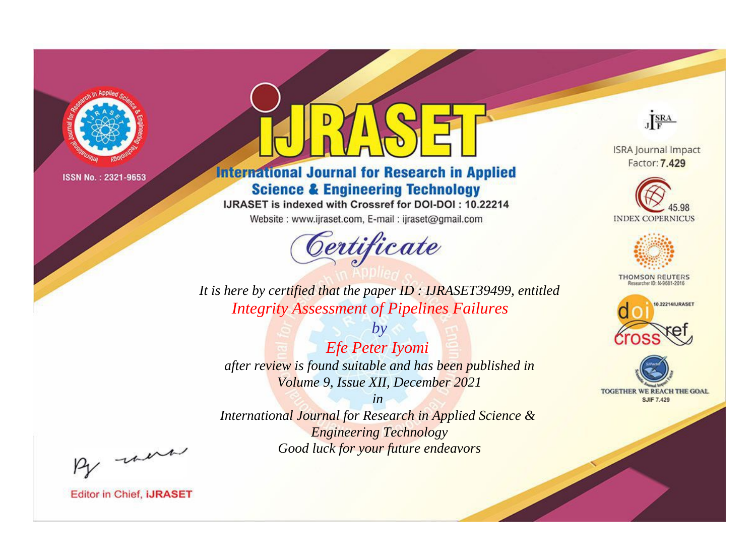

# **International Journal for Research in Applied Science & Engineering Technology**

IJRASET is indexed with Crossref for DOI-DOI: 10.22214

Website: www.ijraset.com, E-mail: ijraset@gmail.com



JERA

**ISRA Journal Impact** Factor: 7.429





**THOMSON REUTERS** 



TOGETHER WE REACH THE GOAL **SJIF 7.429** 

It is here by certified that the paper ID: IJRASET39499, entitled **Integrity Assessment of Pipelines Failures** 

Efe Peter Iyomi after review is found suitable and has been published in Volume 9, Issue XII, December 2021

 $b\nu$ 

 $in$ International Journal for Research in Applied Science & **Engineering Technology** Good luck for your future endeavors

By morn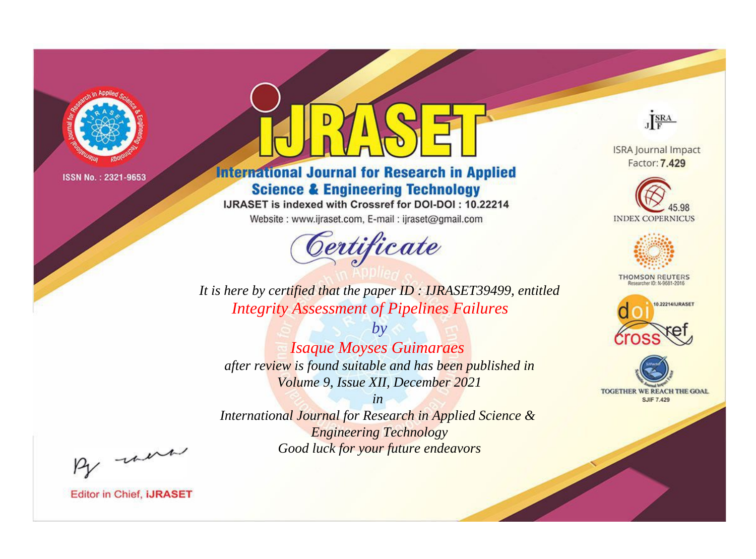

# **International Journal for Research in Applied Science & Engineering Technology**

IJRASET is indexed with Crossref for DOI-DOI: 10.22214

Website: www.ijraset.com, E-mail: ijraset@gmail.com



JERA

**ISRA Journal Impact** Factor: 7.429





**THOMSON REUTERS** 



TOGETHER WE REACH THE GOAL **SJIF 7.429** 

It is here by certified that the paper ID: IJRASET39499, entitled **Integrity Assessment of Pipelines Failures** 

**Isaque Moyses Guimaraes** after review is found suitable and has been published in Volume 9, Issue XII, December 2021

 $b\nu$ 

 $in$ International Journal for Research in Applied Science & **Engineering Technology** Good luck for your future endeavors

By morn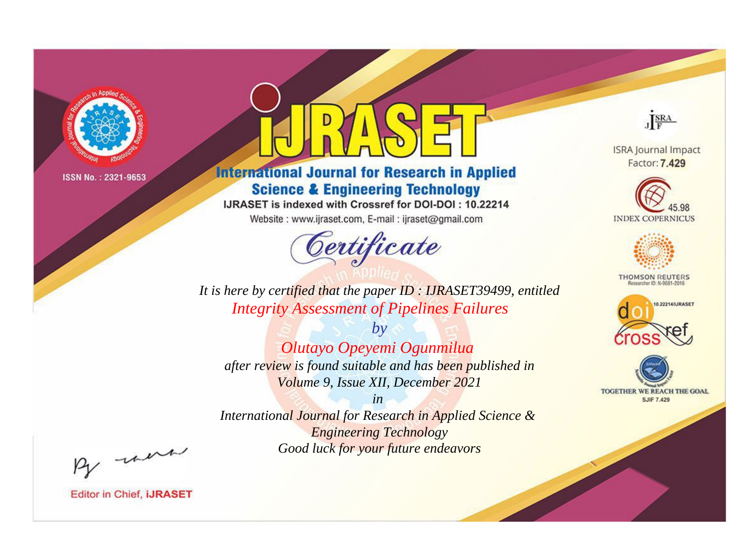

# **International Journal for Research in Applied Science & Engineering Technology**

IJRASET is indexed with Crossref for DOI-DOI: 10.22214

Website: www.ijraset.com, E-mail: ijraset@gmail.com



JERA

**ISRA Journal Impact** Factor: 7.429





**THOMSON REUTERS** 



TOGETHER WE REACH THE GOAL **SJIF 7.429** 

It is here by certified that the paper ID: IJRASET39499, entitled **Integrity Assessment of Pipelines Failures** 

Olutayo Opeyemi Ogunmilua after review is found suitable and has been published in Volume 9, Issue XII, December 2021

 $b\nu$ 

 $in$ International Journal for Research in Applied Science & **Engineering Technology** Good luck for your future endeavors

By morn